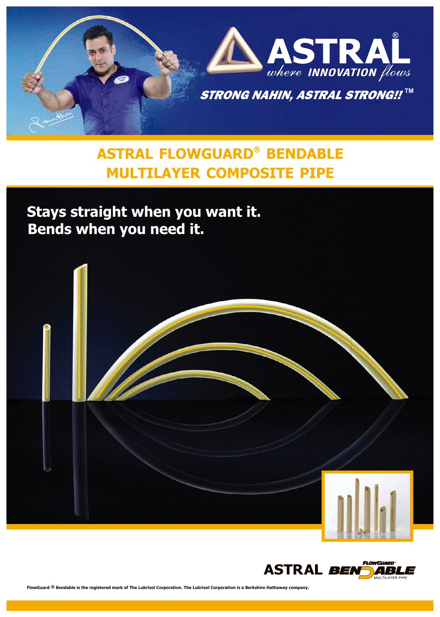

# **® ASTRAL FLOWGUARD BENDABLE MULTILAYER COMPOSITE PIPE**

**Stays straight when you want it. Bends when you need it.**